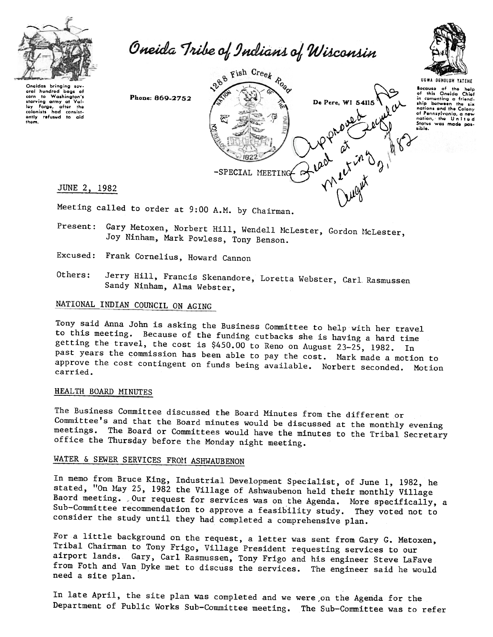

Oneida Tribe of Indians of Wisconsin

Ongidas bringing soveral hundred bags of<br>corn to Washington's starving army at Val-loy forgg, aftor tho colonists had consist<br>ently rofused to aid thom.







Meeting called to order at 9:00 A.M. by Chairman.

- Present: Gary Metoxen, Norbert Hill, Wendell McLester, Gordon McLester, Joy Ninham, Mark Powless, Tony Benson.
- Frank Cornelius, Howard Cannon
- Others: Jerry Hill, Francis Skenandore, Loretta Webster, Carl Rasmussen Sandy Ninham, Alma Webster,

# NATIONAL INDIAN COUNCIL ON AGING

Tony said Anna John is asking the Business Committee to help with her travel to this meeting. Because of the funding cutbacks she is having a hard time getting the travel, the cost is \$450.00 to Reno on August 23-25, 1982. In past years the commission has been able to pay the cost. Mark made a motion to approve the cost contingent on funds being available. Norbert seconded. Motion carried.

#### HEAL TH BOARD MINUTES

The Business Committee discussed the Board Minutes from the different or Committee's and that the Board minutes would be discussed at the monthly evening meetings. The Board or Committees would have the minutes to the Tribal Secretary office the Thursday before the Monday night meeting.

# WATER & SEWER SERVICES FROM ASHWAUBENON

In memo from Bruce King, Industrial Development Specialist, of June 1, 1982, he stated, "On May 25, 1982 the Village of Ashwaubenon held their monthly Village Baord meeting. Our request for services was on the Agenda. More specifically, a Sub-Committee recommendation to approve a feasibility study. They voted not to consider the study until they had completed a comprehensive plan.

For a little background on the request, a letter was sent from Gary G. Metoxen, Tribal Chairman to Tony Frigo, Village President requesting services to our airport lands. Gary, Carl Rasmussen, Tony Frigo and his engineer Steve LaFave from Foth and Van Dyke met to discuss the services. The engineer said he would need a site plan.

In late April, the site plan was completed and we were ,on the Agenda for the Department of Public Works Sub-Committee meeting. The Sub-Committee was to refer

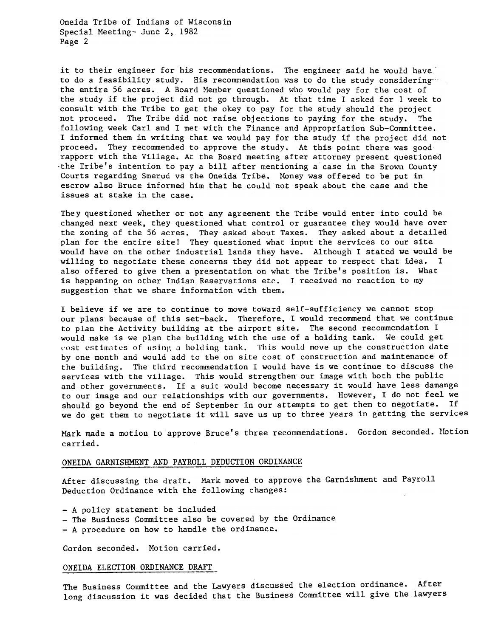Oneida Tribe of Indians of Wisconsin Special Meeting- June 2, 1982 Page 2

it to their engineer for his recommendations. The engineer said he would have to do a feasibility study. His recommendation was to do the study considering-" the entire 56 acres. A Board Member questioned who would pay for the cost of the study if the project did not go through. At that time I asked for 1 week to consult with the Tribe to get the okey to pay for the study should the project not proceed. The Tribe did not raise objections to paying for the study. The following week Carl and I met with the Finance and Appropriation Sub-Committee. I informed them in writing that we would pay for the study if the project did not proceed. They recommended to approve the study. At this point there was good rapport with the Village. At the Board meeting after attorney present questioned the Tribe's intention to pay a bill after mentioning a case in the Brown County Courts regarding Smerud vs the Oneida Tribe. Money was offered to be put in escrow also Bruce informed him that he could not speak about the case and the issues at stake in the case.

They questioned whether or not any agreement the Tribe would enter into could be changed next week, they questioned what control or guarantee they would have over the zoning of the 56 acres. They asked about Taxes. They asked about a detailed plan for the entire site! They questioned what input the services to our site would have on the other industrial lands they have. Although I stated we would be willing to negotiate these concerns they did not appear to respect that idea. I also offered to give them a presentation on what the Tribe's position is. What is happening on other Indian Reservations etc. I received no reaction to my suggestion that we share information with them.

I believe if we are to continue to move toward self-sufficiency we cannot stop our plans because of this set-back. Therefore, I would recommend that we continue to plan the Activity building at the airport site. The second recommendation I would make is we plan the building with the use of a holding tank. We could get cost estimates of using a holding tank. This would move up the construction date by one month and would add to the on site cost of construction and maintenance of the building. The third recommendation I would have is we continue to discuss the services with the village. This would strengthen our image with both the public and other governments. If a suit would become necessary it would have less damange to our image and our relationships with our governments. However, I do not feel we should go beyond the end of September in our attempts to get them to negotiate. If we do get them to negotiate it will save us up to three years in getting the services

Mark made a motion to approve Bruce's three recommendations. Gordon seconded. Motion carried.

## ONEIDA GARNISHMENT AND PAYROLL DEDUCTION ORDINANCE

After discussing the draft. Mark moved to approve the Garnishment and Payroll Deduction Ordinance with the following changes:

- -A policy statement be included
- -The Business Committee also be covered by the Ordinance
- -A procedure on how to handle the ordinance.

Gordon seconded. Motion carried.

#### ONEIDA ELECTION ORDINANCE DRAFT

The Business Committee and the Lawyers discussed the election ordinance. After long discussion it was decided that the Business Committee will give the lawyers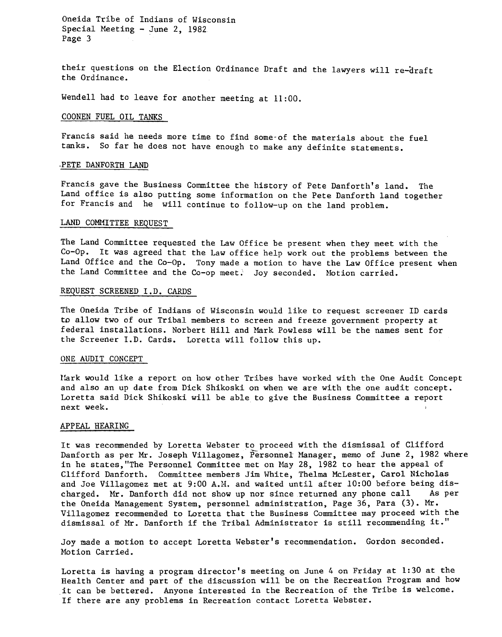Oneida Tribe of Indians of Wisconsin Special Meeting - June 2, 1982 Page 3

their questions on the Election Ordinance Draft and the lawyers will re-draft the Ordinance.

Wendell had to leave for another meeting at 11:00.

### COONEN FUEL OIL TANKS

Francis said he needs more time to find some-of the materials about the fuel tanks. So far he does not have enough to make any definite statements.

#### PETE DANFORTH LAND

Francis gave the Business Committee the history of Pete Danforth's land. The Land office is also putting some information on the Pete Danforth land together for Francis and he will continue to follow-up on the land problem.

#### LAND COMMITTEE REQUEST

The Land Committee requested the Law Office be present when they meet with the Co-Op. It was agreed that the Law office help work out the problems between the Land Office and the Co-Op. Tony made a motion to have the Law Office present when the Land Committee and the Co-op meet. Joy seconded. Motion carried.

#### REQUEST SCREENED I.D. CARDS

The Oneida Tribe of Indians of Wisconsin would like to request screener ID cards to allow two of our Tribal members to screen and freeze government property at federal installations. Norbert Hill and Mark Powless will be the names sent for the Screener I.D. Cards. Loretta will follow this up.

#### ONE AUDIT CONCEPT

l'ark would like a report on how other Tribes have worked with the One Audit Concept and also an up date from Dick Shikoski on when we are with the one audit concept. Loretta said Dick Shikoski will be able to give the Business Committee a report next week.

#### APPEAL HEARING

It was recommended by Loretta Webster to proceed with the dismissal of Clifford Danforth as per Mr. Joseph Villagomez, Personnel Manager, memo of June 2, 1982 where in he states, "The Personnel Committee met on May 28, 1982 to hear the appeal of Clifford Danforth. Committee members Jim White, Thelma McLester, Carol Nicholas and Joe Villagomez met at 9:00 A.H. and waited until after 10:00 before being discharged. Mr. Danforth did not show up nor since returned any phone call As per the Oneida Management System, personnel administration, Page 36, Para  $(3)$ . Mr. Villagomez recommended to Loretta that the Business Committee may proceed with the dismissal of Mr. Danforth if the Tribal Administrator is still recommending it."

Joy made a motion to accept Loretta Webster's recommendation. Gordon seconded. Motion Carried.

Loretta is having a program director's meeting on June 4 on Friday at 1:30 at the Health Center and part of the discussion will be on the Recreation Program and how it can be bettered. Anyone interested in the Recreation of the Tribe is welcome. If there are any problems in Recreation contact Loretta Webster.